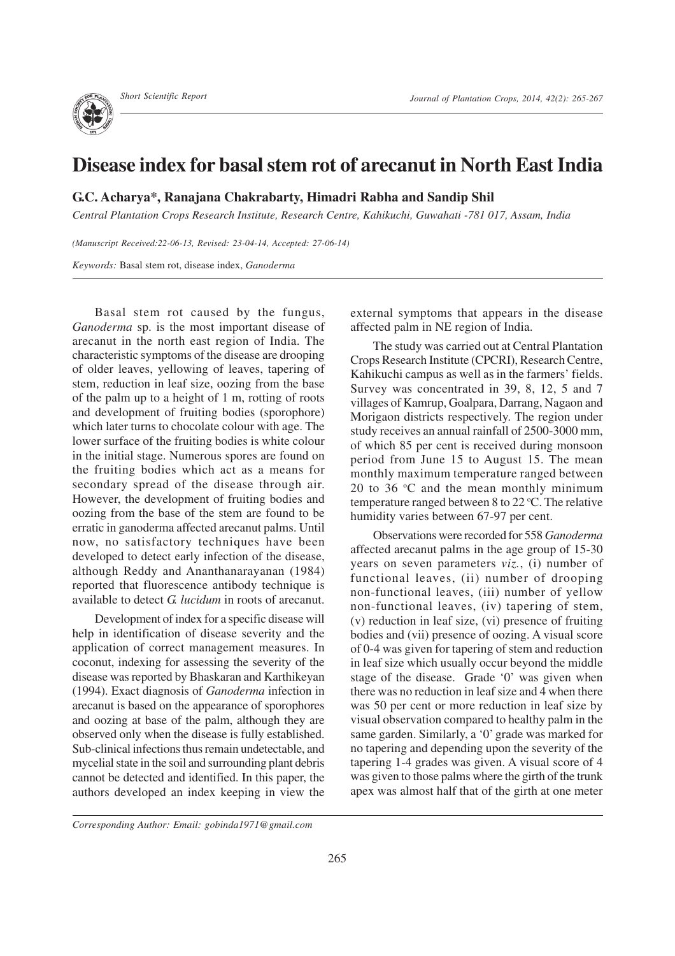## **Disease index for basal stem rot of arecanut in North East India**

**G.C. Acharya\*, Ranajana Chakrabarty, Himadri Rabha and Sandip Shil**

*Central Plantation Crops Research Institute, Research Centre, Kahikuchi, Guwahati -781 017, Assam, India*

*(Manuscript Received:22-06-13, Revised: 23-04-14, Accepted: 27-06-14)*

*Keywords:* Basal stem rot, disease index, *Ganoderma*

Basal stem rot caused by the fungus, *Ganoderma* sp. is the most important disease of arecanut in the north east region of India. The characteristic symptoms of the disease are drooping of older leaves, yellowing of leaves, tapering of stem, reduction in leaf size, oozing from the base of the palm up to a height of 1 m, rotting of roots and development of fruiting bodies (sporophore) which later turns to chocolate colour with age. The lower surface of the fruiting bodies is white colour in the initial stage. Numerous spores are found on the fruiting bodies which act as a means for secondary spread of the disease through air. However, the development of fruiting bodies and oozing from the base of the stem are found to be erratic in ganoderma affected arecanut palms. Until now, no satisfactory techniques have been developed to detect early infection of the disease, although Reddy and Ananthanarayanan (1984) reported that fluorescence antibody technique is available to detect *G. lucidum* in roots of arecanut.

Development of index for a specific disease will help in identification of disease severity and the application of correct management measures. In coconut, indexing for assessing the severity of the disease was reported by Bhaskaran and Karthikeyan (1994). Exact diagnosis of *Ganoderma* infection in arecanut is based on the appearance of sporophores and oozing at base of the palm, although they are observed only when the disease is fully established. Sub-clinical infections thus remain undetectable, and mycelial state in the soil and surrounding plant debris cannot be detected and identified. In this paper, the authors developed an index keeping in view the external symptoms that appears in the disease affected palm in NE region of India.

The study was carried out at Central Plantation Crops Research Institute (CPCRI), Research Centre, Kahikuchi campus as well as in the farmers' fields. Survey was concentrated in 39, 8, 12, 5 and 7 villages of Kamrup, Goalpara, Darrang, Nagaon and Morigaon districts respectively. The region under study receives an annual rainfall of 2500-3000 mm, of which 85 per cent is received during monsoon period from June 15 to August 15. The mean monthly maximum temperature ranged between 20 to 36  $\degree$ C and the mean monthly minimum temperature ranged between 8 to 22  $\mathrm{^oC}$ . The relative humidity varies between 67-97 per cent.

Observations were recorded for 558 *Ganoderma* affected arecanut palms in the age group of 15-30 years on seven parameters *viz.*, (i) number of functional leaves, (ii) number of drooping non-functional leaves, (iii) number of yellow non-functional leaves, (iv) tapering of stem, (v) reduction in leaf size, (vi) presence of fruiting bodies and (vii) presence of oozing. A visual score of 0-4 was given for tapering of stem and reduction in leaf size which usually occur beyond the middle stage of the disease. Grade '0' was given when there was no reduction in leaf size and 4 when there was 50 per cent or more reduction in leaf size by visual observation compared to healthy palm in the same garden. Similarly, a '0' grade was marked for no tapering and depending upon the severity of the tapering 1-4 grades was given. A visual score of 4 was given to those palms where the girth of the trunk apex was almost half that of the girth at one meter

*Corresponding Author: Email: gobinda1971@gmail.com*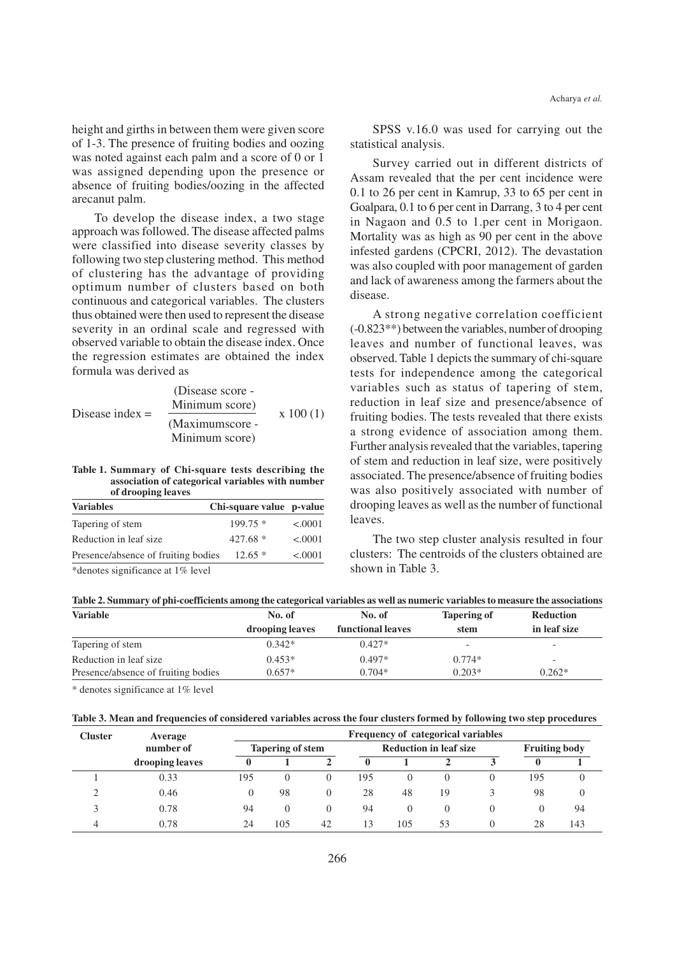height and girths in between them were given score of 1-3. The presence of fruiting bodies and oozing was noted against each palm and a score of 0 or 1 was assigned depending upon the presence or absence of fruiting bodies/oozing in the affected arecanut palm.

To develop the disease index, a two stage approach was followed. The disease affected palms were classified into disease severity classes by following two step clustering method. This method of clustering has the advantage of providing optimum number of clusters based on both continuous and categorical variables. The clusters thus obtained were then used to represent the disease severity in an ordinal scale and regressed with observed variable to obtain the disease index. Once the regression estimates are obtained the index formula was derived as

| Disease index $=$ | (Disease score - |          |
|-------------------|------------------|----------|
|                   | Minimum score)   | x 100(1) |
|                   | (Maximumscore -  |          |
|                   | Minimum score)   |          |

**Table 1. Summary of Chi-square tests describing the association of categorical variables with number of drooping leaves**

| <b>Variables</b>                    | Chi-square value p-value |         |
|-------------------------------------|--------------------------|---------|
| Tapering of stem                    | $199.75*$                | < .0001 |
| Reduction in leaf size.             | $427.68*$                | < .0001 |
| Presence/absence of fruiting bodies | $12.65*$                 | < .0001 |
|                                     |                          |         |

\*denotes significance at 1% level

SPSS v.16.0 was used for carrying out the statistical analysis.

Survey carried out in different districts of Assam revealed that the per cent incidence were 0.1 to 26 per cent in Kamrup, 33 to 65 per cent in Goalpara, 0.1 to 6 per cent in Darrang, 3 to 4 per cent in Nagaon and 0.5 to 1.per cent in Morigaon. Mortality was as high as 90 per cent in the above infested gardens (CPCRI, 2012). The devastation was also coupled with poor management of garden and lack of awareness among the farmers about the disease.

A strong negative correlation coefficient (-0.823\*\*) between the variables, number of drooping leaves and number of functional leaves, was observed. Table 1 depicts the summary of chi-square tests for independence among the categorical variables such as status of tapering of stem, reduction in leaf size and presence/absence of fruiting bodies. The tests revealed that there exists a strong evidence of association among them. Further analysis revealed that the variables, tapering of stem and reduction in leaf size, were positively associated. The presence/absence of fruiting bodies was also positively associated with number of drooping leaves as well as the number of functional leaves.

The two step cluster analysis resulted in four clusters: The centroids of the clusters obtained are shown in Table 3.

|  |  |  | Table 2. Summary of phi-coefficients among the categorical variables as well as numeric variables to measure the associations |  |
|--|--|--|-------------------------------------------------------------------------------------------------------------------------------|--|
|  |  |  |                                                                                                                               |  |

| <b>Variable</b>                     | No. of          | No. of            | <b>Tapering of</b>       | Reduction                |  |
|-------------------------------------|-----------------|-------------------|--------------------------|--------------------------|--|
|                                     | drooping leaves | functional leaves | stem                     | in leaf size             |  |
| Tapering of stem                    | $0.342*$        | $0.427*$          | $\overline{\phantom{0}}$ |                          |  |
| Reduction in leaf size              | $0.453*$        | $0.497*$          | $0.774*$                 | $\overline{\phantom{0}}$ |  |
| Presence/absence of fruiting bodies | $0.657*$        | $0.704*$          | $0.203*$                 | $0.262*$                 |  |

\* denotes significance at 1% level

|  |  |  | Table 3. Mean and frequencies of considered variables across the four clusters formed by following two step procedures |  |
|--|--|--|------------------------------------------------------------------------------------------------------------------------|--|
|  |  |  |                                                                                                                        |  |

| <b>Cluster</b> | Average         | Frequency of categorical variables |                         |          |                               |          |    |                      |        |     |
|----------------|-----------------|------------------------------------|-------------------------|----------|-------------------------------|----------|----|----------------------|--------|-----|
|                | number of       |                                    | <b>Tapering of stem</b> |          | <b>Reduction in leaf size</b> |          |    | <b>Fruiting body</b> |        |     |
|                | drooping leaves |                                    |                         |          |                               |          |    |                      | $_{0}$ |     |
|                | 0.33            | 195                                | $\Omega$                | $\Omega$ | 195                           | $\Omega$ |    | $\Omega$             | 195    |     |
| ◠              | 0.46            | 0                                  | 98                      | $\Omega$ | 28                            | 48       | 19 |                      | 98     |     |
|                | 0.78            | 94                                 | $\Omega$                | $\left($ | 94                            | $\theta$ |    | $\Omega$             | 0      | 94  |
| 4              | 0.78            | 24                                 | 105                     | 42       | 13                            | 105      | 53 | $\Omega$             | 28     | 143 |